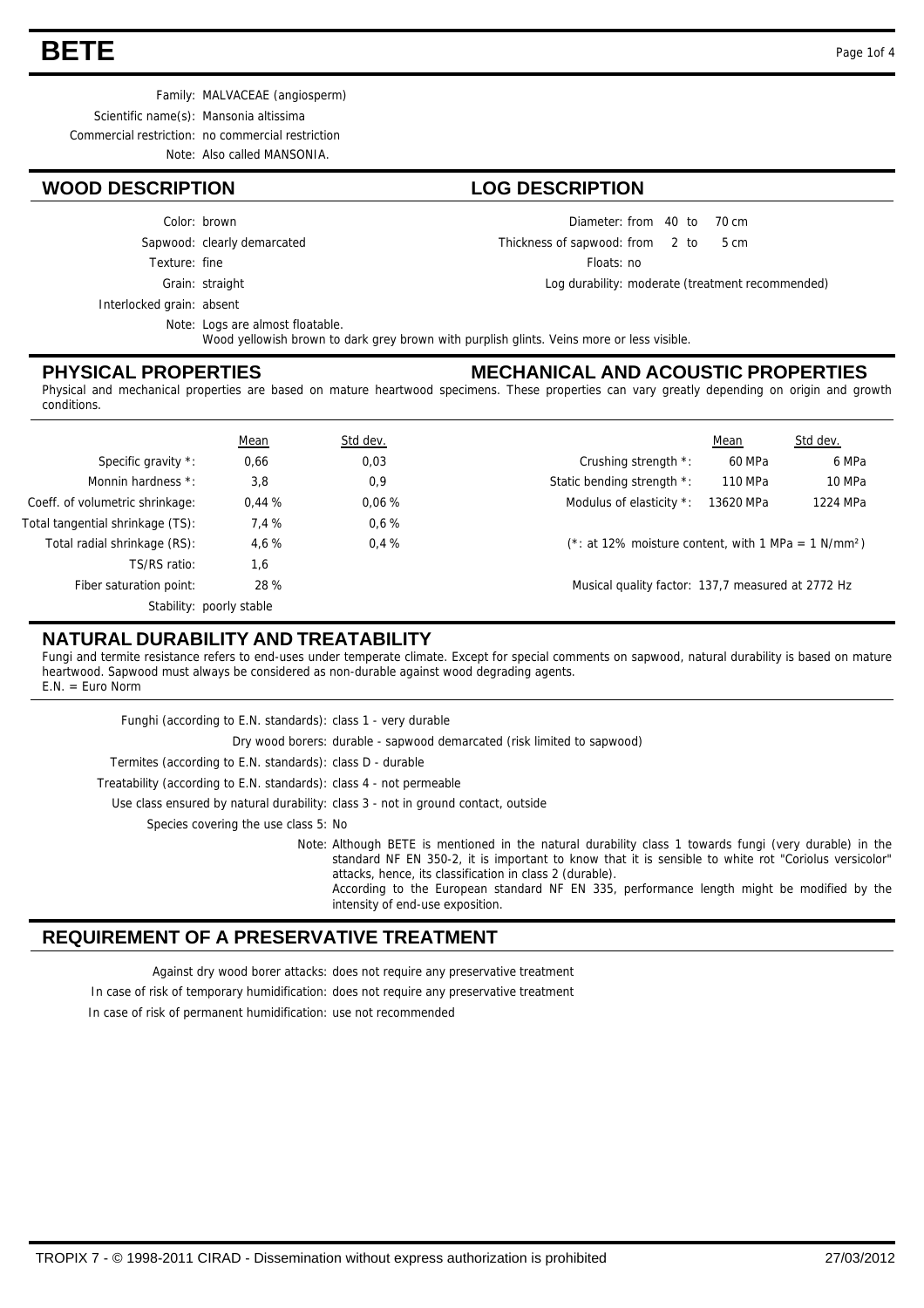# **BETE** Page 1of 4

Family: MALVACEAE (angiosperm) Scientific name(s): Mansonia altissima Commercial restriction: no commercial restriction Note: Also called MANSONIA.

#### **WOOD DESCRIPTION LOG DESCRIPTION**

Color: brown

Sapwood: clearly demarcated

Grain: straight Texture: fine

Interlocked grain: absent

Note: Logs are almost floatable. Wood yellowish brown to dark grey brown with purplish glints. Veins more or less visible

#### **PHYSICAL PROPERTIES**

#### **MECHANICAL AND ACOUSTIC PROPERTIES**

Diameter: from 40 to 70 cm

Floats: no

Thickness of sapwood:

 $from 2 to 5 cm$ 

Log durability: moderate (treatment recommended)

Physical and mechanical properties are based on mature heartwood specimens. These properties can vary greatly depending on origin and growth conditions.

|                                  | Mean                     | Std dev. |                                                                 | Mean      | Std dev. |
|----------------------------------|--------------------------|----------|-----------------------------------------------------------------|-----------|----------|
| Specific gravity *:              | 0,66                     | 0,03     | Crushing strength *:                                            | 60 MPa    | 6 MPa    |
| Monnin hardness *:               | 3,8                      | 0,9      | Static bending strength *:                                      | 110 MPa   | 10 MPa   |
| Coeff. of volumetric shrinkage:  | 0.44%                    | 0.06%    | Modulus of elasticity *:                                        | 13620 MPa | 1224 MPa |
| Total tangential shrinkage (TS): | 7.4 %                    | 0.6%     |                                                                 |           |          |
| Total radial shrinkage (RS):     | 4.6%                     | 0.4%     | (*: at 12% moisture content, with 1 MPa = 1 N/mm <sup>2</sup> ) |           |          |
| TS/RS ratio:                     | 1,6                      |          |                                                                 |           |          |
| Fiber saturation point:          | 28 %                     |          | Musical quality factor: 137,7 measured at 2772 Hz               |           |          |
|                                  | Stability: poorly stable |          |                                                                 |           |          |

## **NATURAL DURABILITY AND TREATABILITY**

Fungi and termite resistance refers to end-uses under temperate climate. Except for special comments on sapwood, natural durability is based on mature heartwood. Sapwood must always be considered as non-durable against wood degrading agents. E.N. = Euro Norm

| Funghi (according to E.N. standards): class 1 - very durable                                                                                                                                                                                                                                                                                                                                                |
|-------------------------------------------------------------------------------------------------------------------------------------------------------------------------------------------------------------------------------------------------------------------------------------------------------------------------------------------------------------------------------------------------------------|
| Dry wood borers: durable - sapwood demarcated (risk limited to sapwood)                                                                                                                                                                                                                                                                                                                                     |
| Termites (according to E.N. standards): class D - durable                                                                                                                                                                                                                                                                                                                                                   |
| Treatability (according to E.N. standards): class 4 - not permeable                                                                                                                                                                                                                                                                                                                                         |
| Use class ensured by natural durability: class 3 - not in ground contact, outside                                                                                                                                                                                                                                                                                                                           |
| Species covering the use class 5: No                                                                                                                                                                                                                                                                                                                                                                        |
| Note: Although BETE is mentioned in the natural durability class 1 towards fungi (very durable) in the<br>standard NF EN 350-2, it is important to know that it is sensible to white rot "Coriolus versicolor"<br>attacks, hence, its classification in class 2 (durable).<br>According to the European standard NF EN 335, performance length might be modified by the<br>intensity of end-use exposition. |

#### **REQUIREMENT OF A PRESERVATIVE TREATMENT**

Against dry wood borer attacks: does not require any preservative treatment

In case of risk of temporary humidification: does not require any preservative treatment

In case of risk of permanent humidification: use not recommended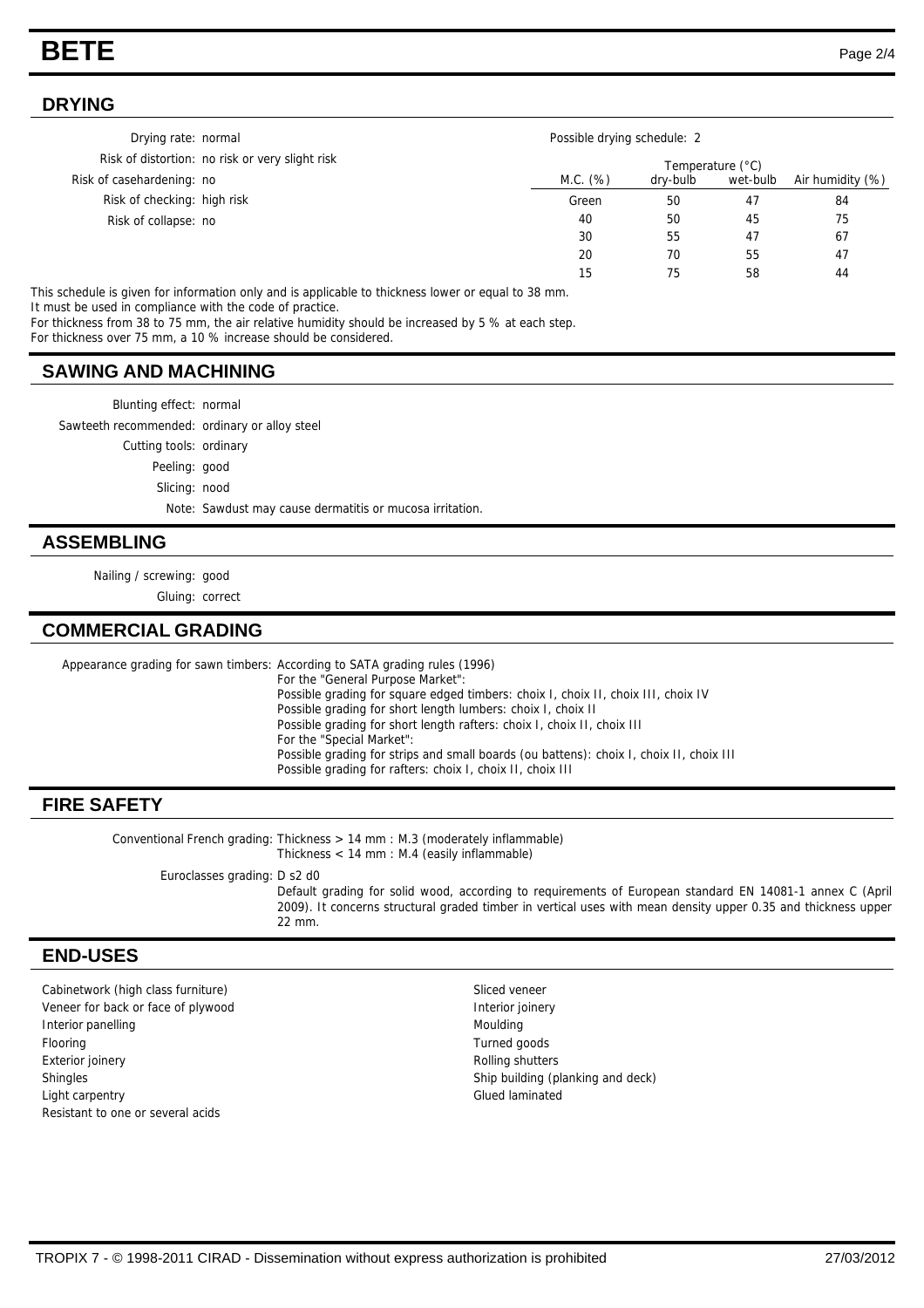# **BETE** Page 2/4

#### **DRYING**

| Drying rate: normal                             | Possible drying schedule: 2 |                  |          |                  |
|-------------------------------------------------|-----------------------------|------------------|----------|------------------|
| Risk of distortion: no risk or very slight risk |                             | Temperature (°C) |          |                  |
| Risk of casehardening: no                       | M.C. (%)                    | dry-bulb         | wet-bulb | Air humidity (%) |
| Risk of checking: high risk                     | Green                       | 50               | 47       | 84               |
| Risk of collapse: no                            | 40                          | 50               | 45       | 75               |
|                                                 | 30                          | 55               | 47       | 67               |
|                                                 | 20                          | 70               | 55       | 47               |
|                                                 | 15                          | 75               | 58       | 44               |

This schedule is given for information only and is applicable to thickness lower or equal to 38 mm. It must be used in compliance with the code of practice.

For thickness from 38 to 75 mm, the air relative humidity should be increased by 5 % at each step.

For thickness over 75 mm, a 10 % increase should be considered.

#### **SAWING AND MACHINING**

Blunting effect: normal

Sawteeth recommended: ordinary or alloy steel

Cutting tools: ordinary

Peeling: good

Slicing: nood

Note: Sawdust may cause dermatitis or mucosa irritation.

#### **ASSEMBLING**

Nailing / screwing: good

Gluing: correct

### **COMMERCIAL GRADING**

Appearance grading for sawn timbers: According to SATA grading rules (1996) For the "General Purpose Market": Possible grading for square edged timbers: choix I, choix II, choix III, choix IV Possible grading for short length lumbers: choix I, choix II Possible grading for short length rafters: choix I, choix II, choix III For the "Special Market": Possible grading for strips and small boards (ou battens): choix I, choix II, choix III Possible grading for rafters: choix I, choix II, choix III

### **FIRE SAFETY**

Conventional French grading: Thickness  $> 14$  mm : M.3 (moderately inflammable) Thickness < 14 mm : M.4 (easily inflammable)

Euroclasses grading: D s2 d0

Default grading for solid wood, according to requirements of European standard EN 14081-1 annex C (April 2009). It concerns structural graded timber in vertical uses with mean density upper 0.35 and thickness upper 22 mm.

#### **END-USES**

Cabinetwork (high class furniture) Sliced veneer Veneer for back or face of plywood **Interior interior interior ioinery Interior panelling Community Community Community Community Community Community Community Community Community Community Community Community Community Community Community Community Community Community Community Community Co** Flooring Turned goods Exterior joinery **Exterior** joinery **Rolling shutters** Shingles Shingles Shingles Shingles Shingles Shingles Shingles Shingles Shingles Shingles Shingles Shingles Shingles Shingles Shingles Shingles Shingles Shingles Shingles Shingles Shingles Shingles Shingles Shingles Shingl Light carpentry **Glued laminated** Resistant to one or several acids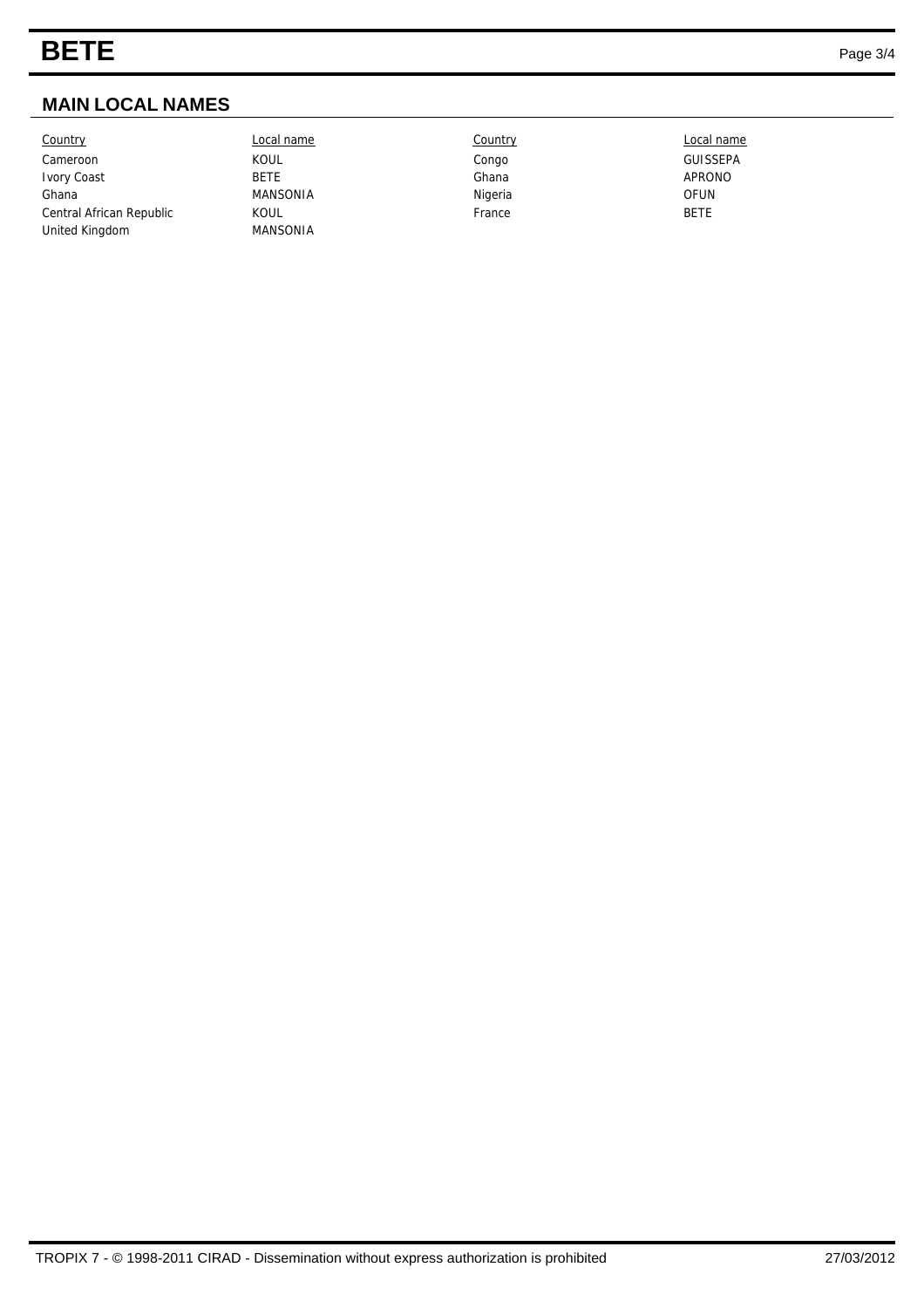# **MAIN LOCAL NAMES**

| Country                  | Local name      | Country | Local name      |
|--------------------------|-----------------|---------|-----------------|
| Cameroon                 | KOUL            | Congo   | <b>GUISSEPA</b> |
| Ivory Coast              | <b>BETE</b>     | Ghana   | APRONO          |
| Ghana                    | <b>MANSONIA</b> | Nigeria | OFUN            |
| Central African Republic | <b>KOUL</b>     | France  | <b>BETE</b>     |
| United Kingdom           | <b>MANSONIA</b> |         |                 |